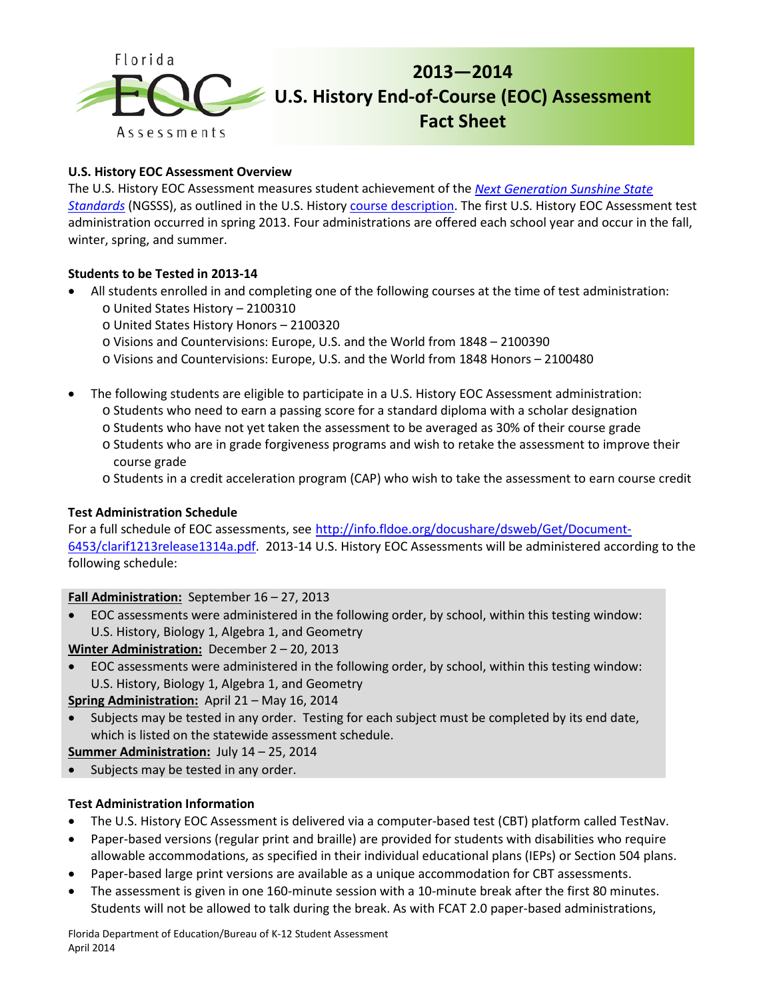

### **U.S. History EOC Assessment Overview**

The U.S. History EOC Assessment measures student achievement of the *[Next Generation Sunshine State](http://www.floridastandards.org/index.aspx)  [Standards](http://www.floridastandards.org/index.aspx)* (NGSSS), as outlined in the U.S. History [course description.](http://www.cpalms.org/Courses/PublicPreviewCourse1723.aspx?kw=2100310) The first U.S. History EOC Assessment test administration occurred in spring 2013. Four administrations are offered each school year and occur in the fall, winter, spring, and summer.

### **Students to be Tested in 2013-14**

- All students enrolled in and completing one of the following courses at the time of test administration:
	- o United States History 2100310
	- o United States History Honors 2100320
	- o Visions and Countervisions: Europe, U.S. and the World from 1848 2100390
	- o Visions and Countervisions: Europe, U.S. and the World from 1848 Honors 2100480
- The following students are eligible to participate in a U.S. History EOC Assessment administration:
	- o Students who need to earn a passing score for a standard diploma with a scholar designation
	- o Students who have not yet taken the assessment to be averaged as 30% of their course grade
	- o Students who are in grade forgiveness programs and wish to retake the assessment to improve their course grade
	- o Students in a credit acceleration program (CAP) who wish to take the assessment to earn course credit

### **Test Administration Schedule**

For a full schedule of EOC assessments, see [http://info.fldoe.org/docushare/dsweb/Get/Document-](http://info.fldoe.org/docushare/dsweb/Get/Document-6453/clarif1213release1314a.pdf)[6453/clarif1213release1314a.pdf.](http://info.fldoe.org/docushare/dsweb/Get/Document-6453/clarif1213release1314a.pdf) 2013-14 U.S. History EOC Assessments will be administered according to the following schedule:

# **Fall Administration:** September 16 – 27, 2013

• EOC assessments were administered in the following order, by school, within this testing window: U.S. History, Biology 1, Algebra 1, and Geometry

**Winter Administration:** December 2 – 20, 2013

• EOC assessments were administered in the following order, by school, within this testing window: U.S. History, Biology 1, Algebra 1, and Geometry

**Spring Administration:** April 21 – May 16, 2014

Subjects may be tested in any order. Testing for each subject must be completed by its end date, which is listed on the statewide assessment schedule.

**Summer Administration:** July 14 – 25, 2014

• Subjects may be tested in any order.

# **Test Administration Information**

- The U.S. History EOC Assessment is delivered via a computer-based test (CBT) platform called TestNav.
- Paper-based versions (regular print and braille) are provided for students with disabilities who require allowable accommodations, as specified in their individual educational plans (IEPs) or Section 504 plans.
- Paper-based large print versions are available as a unique accommodation for CBT assessments.
- The assessment is given in one 160-minute session with a 10-minute break after the first 80 minutes. Students will not be allowed to talk during the break. As with FCAT 2.0 paper-based administrations,

Florida Department of Education/Bureau of K-12 Student Assessment April 2014